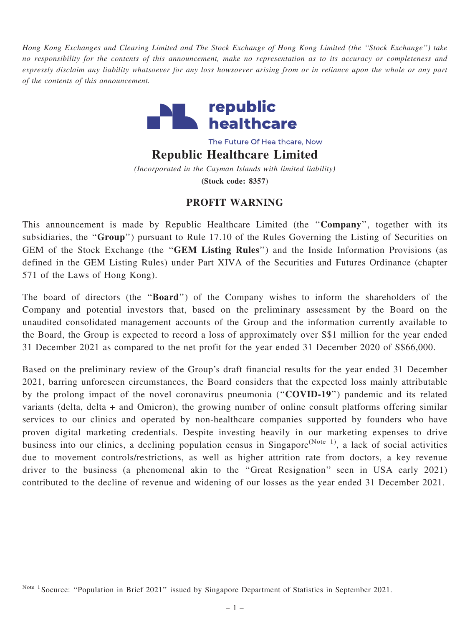Hong Kong Exchanges and Clearing Limited and The Stock Exchange of Hong Kong Limited (the ''Stock Exchange'') take no responsibility for the contents of this announcement, make no representation as to its accuracy or completeness and expressly disclaim any liability whatsoever for any loss howsoever arising from or in reliance upon the whole or any part of the contents of this announcement.



The Future Of Healthcare, Now

Republic Healthcare Limited

(Incorporated in the Cayman Islands with limited liability) (Stock code: 8357)

## PROFIT WARNING

This announcement is made by Republic Healthcare Limited (the "Company", together with its subsidiaries, the "Group") pursuant to Rule 17.10 of the Rules Governing the Listing of Securities on GEM of the Stock Exchange (the ''GEM Listing Rules'') and the Inside Information Provisions (as defined in the GEM Listing Rules) under Part XIVA of the Securities and Futures Ordinance (chapter 571 of the Laws of Hong Kong).

The board of directors (the "**Board**") of the Company wishes to inform the shareholders of the Company and potential investors that, based on the preliminary assessment by the Board on the unaudited consolidated management accounts of the Group and the information currently available to the Board, the Group is expected to record a loss of approximately over S\$1 million for the year ended 31 December 2021 as compared to the net profit for the year ended 31 December 2020 of S\$66,000.

Based on the preliminary review of the Group's draft financial results for the year ended 31 December 2021, barring unforeseen circumstances, the Board considers that the expected loss mainly attributable by the prolong impact of the novel coronavirus pneumonia ("COVID-19") pandemic and its related variants (delta, delta + and Omicron), the growing number of online consult platforms offering similar services to our clinics and operated by non-healthcare companies supported by founders who have proven digital marketing credentials. Despite investing heavily in our marketing expenses to drive business into our clinics, a declining population census in Singapore<sup>(Note 1)</sup>, a lack of social activities due to movement controls/restrictions, as well as higher attrition rate from doctors, a key revenue driver to the business (a phenomenal akin to the ''Great Resignation'' seen in USA early 2021) contributed to the decline of revenue and widening of our losses as the year ended 31 December 2021.

Note <sup>1</sup> Socurce: "Population in Brief 2021" issued by Singapore Department of Statistics in September 2021.